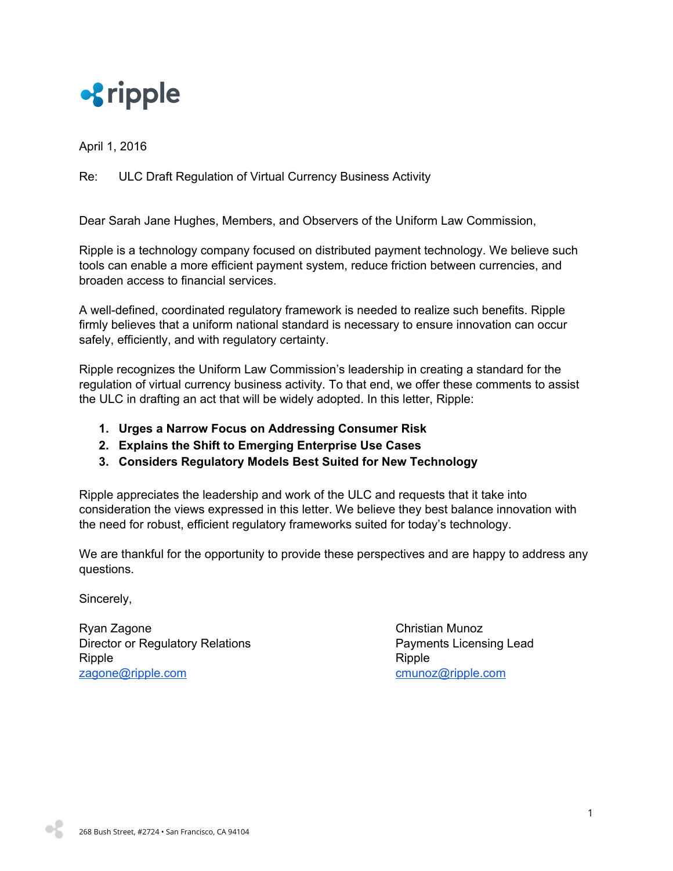

April 1, 2016

## Re: ULC Draft Regulation of Virtual Currency Business Activity

Dear Sarah Jane Hughes, Members, and Observers of the Uniform Law Commission,

Ripple is a technology company focused on distributed payment technology. We believe such tools can enable a more efficient payment system, reduce friction between currencies, and broaden access to financial services.

A well-defined, coordinated regulatory framework is needed to realize such benefits. Ripple firmly believes that a uniform national standard is necessary to ensure innovation can occur safely, efficiently, and with regulatory certainty.

Ripple recognizes the Uniform Law Commission's leadership in creating a standard for the regulation of virtual currency business activity. To that end, we offer these comments to assist the ULC in drafting an act that will be widely adopted. In this letter, Ripple:

- **1. Urges a Narrow Focus on Addressing Consumer Risk**
- **2. Explains the Shift to Emerging Enterprise Use Cases**
- **3. Considers Regulatory Models Best Suited for New Technology**

Ripple appreciates the leadership and work of the ULC and requests that it take into consideration the views expressed in this letter. We believe they best balance innovation with the need for robust, efficient regulatory frameworks suited for today's technology.

We are thankful for the opportunity to provide these perspectives and are happy to address any questions.

Sincerely,

Ryan Zagone **Christian Munoz** Director or Regulatory Relations **Payments Licensing Lead** Ripple **Ripple** [zagone@ripple.com](mailto:zagone@ripple.com) [cmunoz@ripple.com](mailto:cmunoz@ripple.com) cmunoz@ripple.com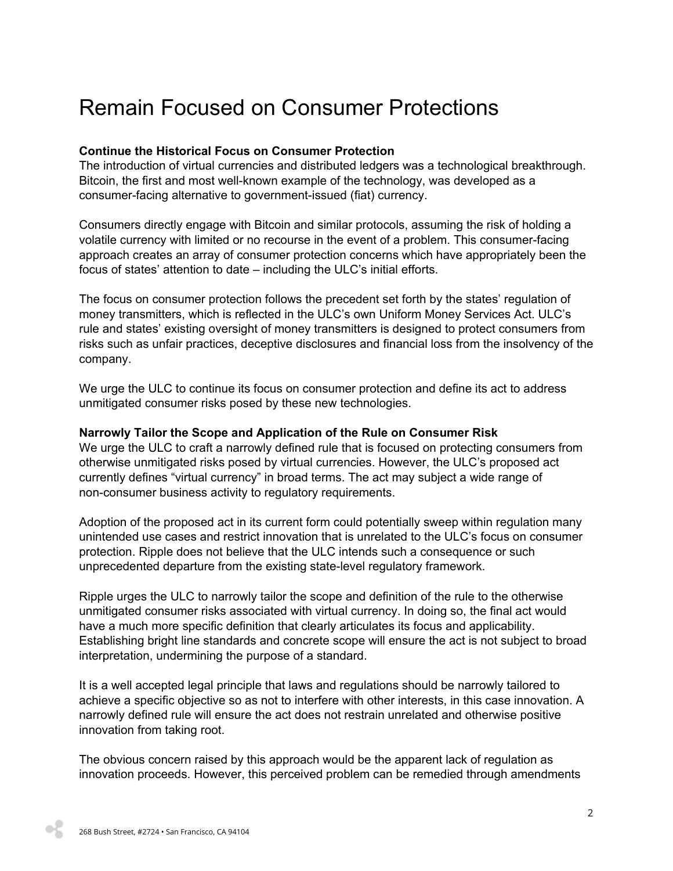## Remain Focused on Consumer Protections

## **Continue the Historical Focus on Consumer Protection**

The introduction of virtual currencies and distributed ledgers was a technological breakthrough. Bitcoin, the first and most well-known example of the technology, was developed as a consumer-facing alternative to government-issued (fiat) currency.

Consumers directly engage with Bitcoin and similar protocols, assuming the risk of holding a volatile currency with limited or no recourse in the event of a problem. This consumer-facing approach creates an array of consumer protection concerns which have appropriately been the focus of states' attention to date – including the ULC's initial efforts.

The focus on consumer protection follows the precedent set forth by the states' regulation of money transmitters, which is reflected in the ULC's own Uniform Money Services Act. ULC's rule and states' existing oversight of money transmitters is designed to protect consumers from risks such as unfair practices, deceptive disclosures and financial loss from the insolvency of the company.

We urge the ULC to continue its focus on consumer protection and define its act to address unmitigated consumer risks posed by these new technologies.

#### **Narrowly Tailor the Scope and Application of the Rule on Consumer Risk**

We urge the ULC to craft a narrowly defined rule that is focused on protecting consumers from otherwise unmitigated risks posed by virtual currencies. However, the ULC's proposed act currently defines "virtual currency" in broad terms. The act may subject a wide range of non-consumer business activity to regulatory requirements.

Adoption of the proposed act in its current form could potentially sweep within regulation many unintended use cases and restrict innovation that is unrelated to the ULC's focus on consumer protection. Ripple does not believe that the ULC intends such a consequence or such unprecedented departure from the existing statelevel regulatory framework.

Ripple urges the ULC to narrowly tailor the scope and definition of the rule to the otherwise unmitigated consumer risks associated with virtual currency. In doing so, the final act would have a much more specific definition that clearly articulates its focus and applicability. Establishing bright line standards and concrete scope will ensure the act is not subject to broad interpretation, undermining the purpose of a standard.

It is a well accepted legal principle that laws and regulations should be narrowly tailored to achieve a specific objective so as not to interfere with other interests, in this case innovation. A narrowly defined rule will ensure the act does not restrain unrelated and otherwise positive innovation from taking root.

The obvious concern raised by this approach would be the apparent lack of regulation as innovation proceeds. However, this perceived problem can be remedied through amendments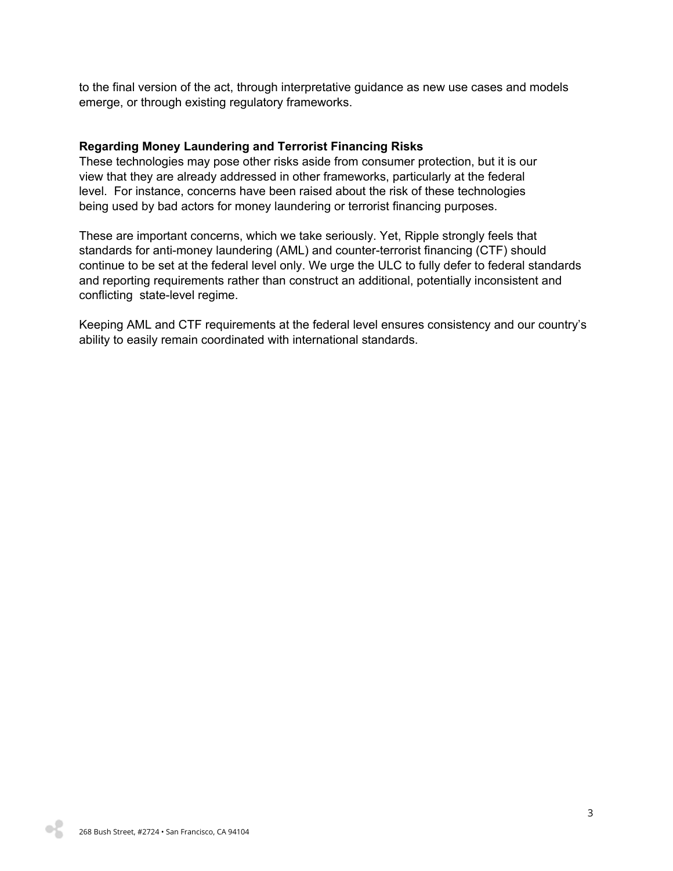to the final version of the act, through interpretative guidance as new use cases and models emerge, or through existing regulatory frameworks.

#### **Regarding Money Laundering and Terrorist Financing Risks**

These technologies may pose other risks aside from consumer protection, but it is our view that they are already addressed in other frameworks, particularly at the federal level. For instance, concerns have been raised about the risk of these technologies being used by bad actors for money laundering or terrorist financing purposes.

These are important concerns, which we take seriously. Yet, Ripple strongly feels that standards for anti-money laundering (AML) and counter-terrorist financing (CTF) should continue to be set at the federal level only. We urge the ULC to fully defer to federal standards and reporting requirements rather than construct an additional, potentially inconsistent and conflicting state-level regime.

Keeping AML and CTF requirements at the federal level ensures consistency and our country's ability to easily remain coordinated with international standards.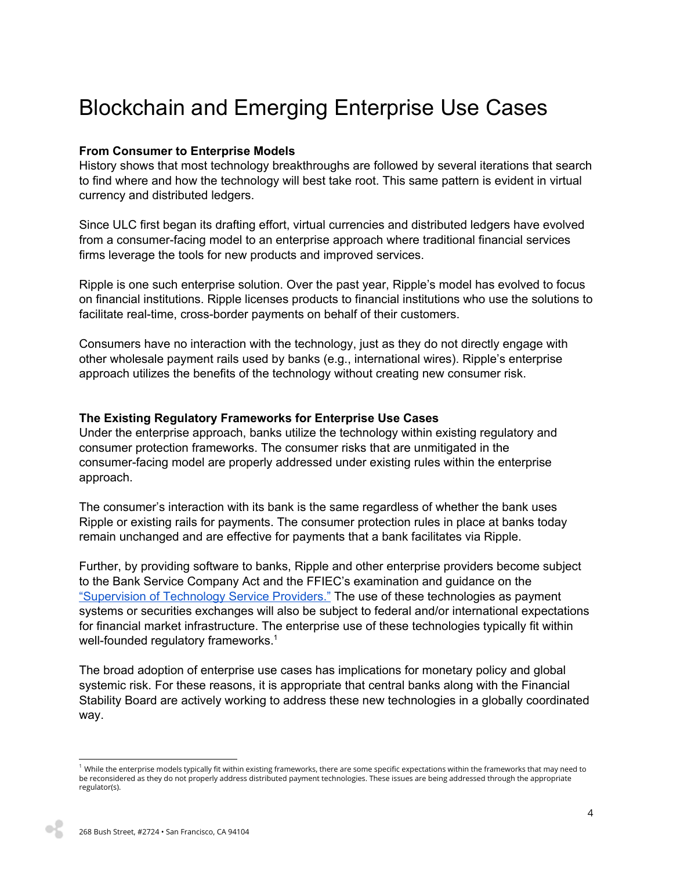## Blockchain and Emerging Enterprise Use Cases

#### **From Consumer to Enterprise Models**

History shows that most technology breakthroughs are followed by several iterations that search to find where and how the technology will best take root. This same pattern is evident in virtual currency and distributed ledgers.

Since ULC first began its drafting effort, virtual currencies and distributed ledgers have evolved from a consumer-facing model to an enterprise approach where traditional financial services firms leverage the tools for new products and improved services.

Ripple is one such enterprise solution. Over the past year, Ripple's model has evolved to focus on financial institutions. Ripple licenses products to financial institutions who use the solutions to facilitate real-time, cross-border payments on behalf of their customers.

Consumers have no interaction with the technology, just as they do not directly engage with other wholesale payment rails used by banks (e.g., international wires). Ripple's enterprise approach utilizes the benefits of the technology without creating new consumer risk.

#### **The Existing Regulatory Frameworks for Enterprise Use Cases**

Under the enterprise approach, banks utilize the technology within existing regulatory and consumer protection frameworks. The consumer risks that are unmitigated in the consumer-facing model are properly addressed under existing rules within the enterprise approach.

The consumer's interaction with its bank is the same regardless of whether the bank uses Ripple or existing rails for payments. The consumer protection rules in place at banks today remain unchanged and are effective for payments that a bank facilitates via Ripple.

Further, by providing software to banks, Ripple and other enterprise providers become subject to the Bank Service Company Act and the FFIEC's examination and guidance on the ["Supervision](http://ithandbook.ffiec.gov/it-booklets/supervision-of-technology-service-providers-(tsp).aspx) of Technology Service Providers." The use of these technologies as payment systems or securities exchanges will also be subject to federal and/or international expectations for financial market infrastructure. The enterprise use of these technologies typically fit within well-founded regulatory frameworks. $1$ 

The broad adoption of enterprise use cases has implications for monetary policy and global systemic risk. For these reasons, it is appropriate that central banks along with the Financial Stability Board are actively working to address these new technologies in a globally coordinated way.

 $1$  While the enterprise models typically fit within existing frameworks, there are some specific expectations within the frameworks that may need to be reconsidered as they do not properly address distributed payment technologies. These issues are being addressed through the appropriate regulator(s).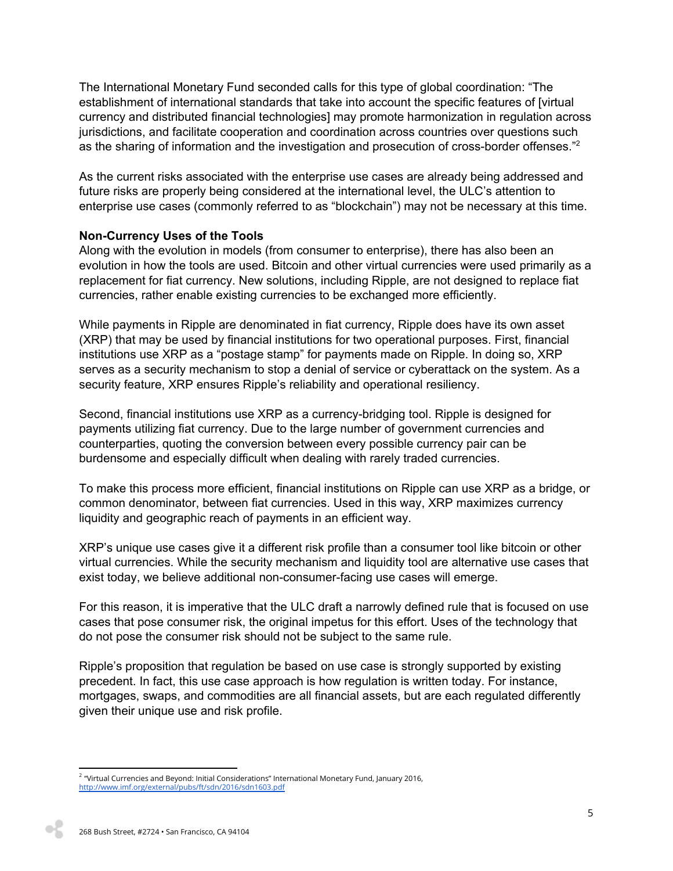The International Monetary Fund seconded calls for this type of global coordination: "The establishment of international standards that take into account the specific features of [virtual currency and distributed financial technologies] may promote harmonization in regulation across jurisdictions, and facilitate cooperation and coordination across countries over questions such as the sharing of information and the investigation and prosecution of cross-border offenses."<sup>2</sup>

As the current risks associated with the enterprise use cases are already being addressed and future risks are properly being considered at the international level, the ULC's attention to enterprise use cases (commonly referred to as "blockchain") may not be necessary at this time.

#### **NonCurrency Uses of the Tools**

Along with the evolution in models (from consumer to enterprise), there has also been an evolution in how the tools are used. Bitcoin and other virtual currencies were used primarily as a replacement for fiat currency. New solutions, including Ripple, are not designed to replace fiat currencies, rather enable existing currencies to be exchanged more efficiently.

While payments in Ripple are denominated in fiat currency, Ripple does have its own asset (XRP) that may be used by financial institutions for two operational purposes. First, financial institutions use XRP as a "postage stamp" for payments made on Ripple. In doing so, XRP serves as a security mechanism to stop a denial of service or cyberattack on the system. As a security feature, XRP ensures Ripple's reliability and operational resiliency.

Second, financial institutions use XRP as a currency-bridging tool. Ripple is designed for payments utilizing fiat currency. Due to the large number of government currencies and counterparties, quoting the conversion between every possible currency pair can be burdensome and especially difficult when dealing with rarely traded currencies.

To make this process more efficient, financial institutions on Ripple can use XRP as a bridge, or common denominator, between fiat currencies. Used in this way, XRP maximizes currency liquidity and geographic reach of payments in an efficient way.

XRP's unique use cases give it a different risk profile than a consumer tool like bitcoin or other virtual currencies. While the security mechanism and liquidity tool are alternative use cases that exist today, we believe additional non-consumer-facing use cases will emerge.

For this reason, it is imperative that the ULC draft a narrowly defined rule that is focused on use cases that pose consumer risk, the original impetus for this effort. Uses of the technology that do not pose the consumer risk should not be subject to the same rule.

Ripple's proposition that regulation be based on use case is strongly supported by existing precedent. In fact, this use case approach is how regulation is written today. For instance, mortgages, swaps, and commodities are all financial assets, but are each regulated differently given their unique use and risk profile.

<sup>2</sup> "Virtual Currencies and Beyond: Initial Considerations" International Monetary Fund, January 2016, <http://www.imf.org/external/pubs/ft/sdn/2016/sdn1603.pdf>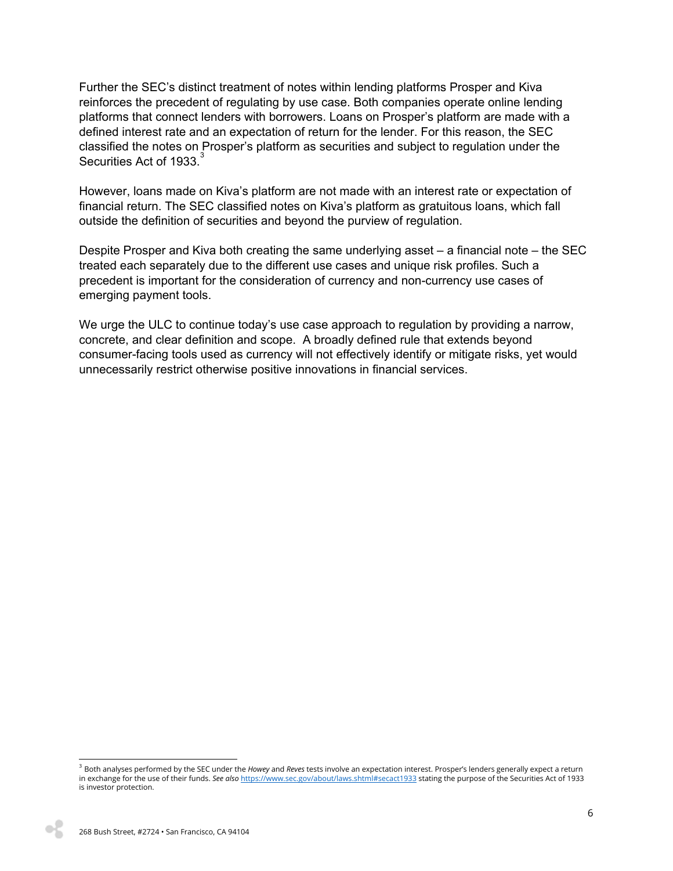Further the SEC's distinct treatment of notes within lending platforms Prosper and Kiva reinforces the precedent of regulating by use case. Both companies operate online lending platforms that connect lenders with borrowers. Loans on Prosper's platform are made with a defined interest rate and an expectation of return for the lender. For this reason, the SEC classified the notes on Prosper's platform as securities and subject to regulation under the Securities Act of 1933.<sup>3</sup>

However, loans made on Kiva's platform are not made with an interest rate or expectation of financial return. The SEC classified notes on Kiva's platform as gratuitous loans, which fall outside the definition of securities and beyond the purview of regulation.

Despite Prosper and Kiva both creating the same underlying asset – a financial note – the SEC treated each separately due to the different use cases and unique risk profiles. Such a precedent is important for the consideration of currency and non-currency use cases of emerging payment tools.

We urge the ULC to continue today's use case approach to regulation by providing a narrow, concrete, and clear definition and scope. A broadly defined rule that extends beyond consumer-facing tools used as currency will not effectively identify or mitigate risks, yet would unnecessarily restrict otherwise positive innovations in financial services.

<sup>3</sup> Both analyses performed by the SEC under the *Howey* and *Reves* tests involve an expectation interest. Prosper's lenders generally expect a return in exchange for the use of their funds. *See also* <https://www.sec.gov/about/laws.shtml#secact1933> stating the purpose of the Securities Act of 1933 is investor protection.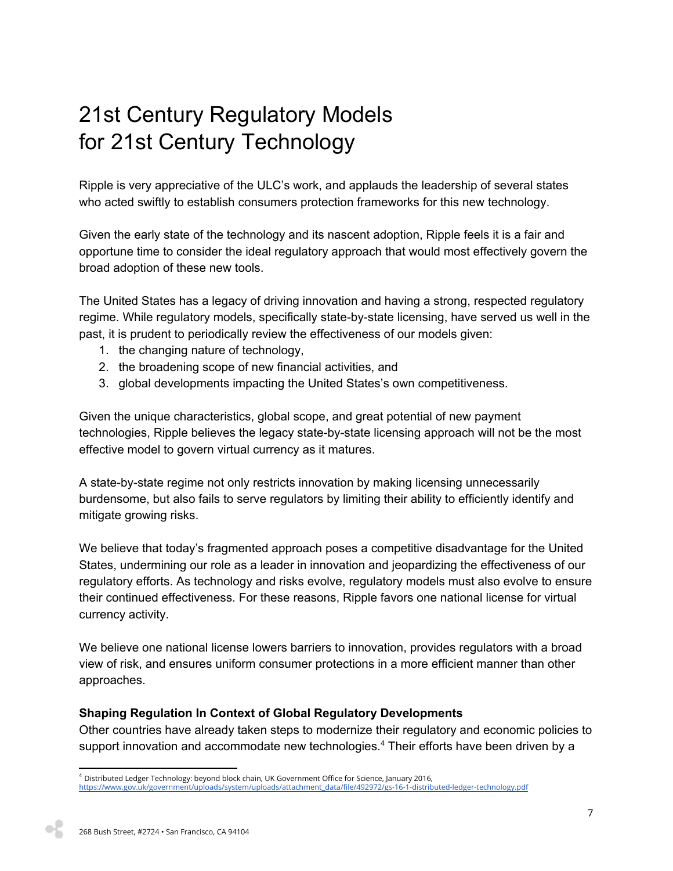# 21st Century Regulatory Models for 21st Century Technology

Ripple is very appreciative of the ULC's work, and applauds the leadership of several states who acted swiftly to establish consumers protection frameworks for this new technology.

Given the early state of the technology and its nascent adoption, Ripple feels it is a fair and opportune time to consider the ideal regulatory approach that would most effectively govern the broad adoption of these new tools.

The United States has a legacy of driving innovation and having a strong, respected regulatory regime. While regulatory models, specifically state-by-state licensing, have served us well in the past, it is prudent to periodically review the effectiveness of our models given:

- 1. the changing nature of technology,
- 2. the broadening scope of new financial activities, and
- 3. global developments impacting the United States's own competitiveness.

Given the unique characteristics, global scope, and great potential of new payment technologies, Ripple believes the legacy state-by-state licensing approach will not be the most effective model to govern virtual currency as it matures.

A state-by-state regime not only restricts innovation by making licensing unnecessarily burdensome, but also fails to serve regulators by limiting their ability to efficiently identify and mitigate growing risks.

We believe that today's fragmented approach poses a competitive disadvantage for the United States, undermining our role as a leader in innovation and jeopardizing the effectiveness of our regulatory efforts. As technology and risks evolve, regulatory models must also evolve to ensure their continued effectiveness. For these reasons, Ripple favors one national license for virtual currency activity.

We believe one national license lowers barriers to innovation, provides regulators with a broad view of risk, and ensures uniform consumer protections in a more efficient manner than other approaches.

## **Shaping Regulation In Context of Global Regulatory Developments**

Other countries have already taken steps to modernize their regulatory and economic policies to support innovation and accommodate new technologies.<sup>4</sup> Their efforts have been driven by a

 $4$  Distributed Ledger Technology: beyond block chain, UK Government Office for Science, January 2016, [https://www.gov.uk/government/uploads/system/uploads/attachment\\_data/file/492972/gs-16-1-distributed-ledger-technology.pdf](https://www.gov.uk/government/uploads/system/uploads/attachment_data/file/492972/gs-16-1-distributed-ledger-technology.pdf)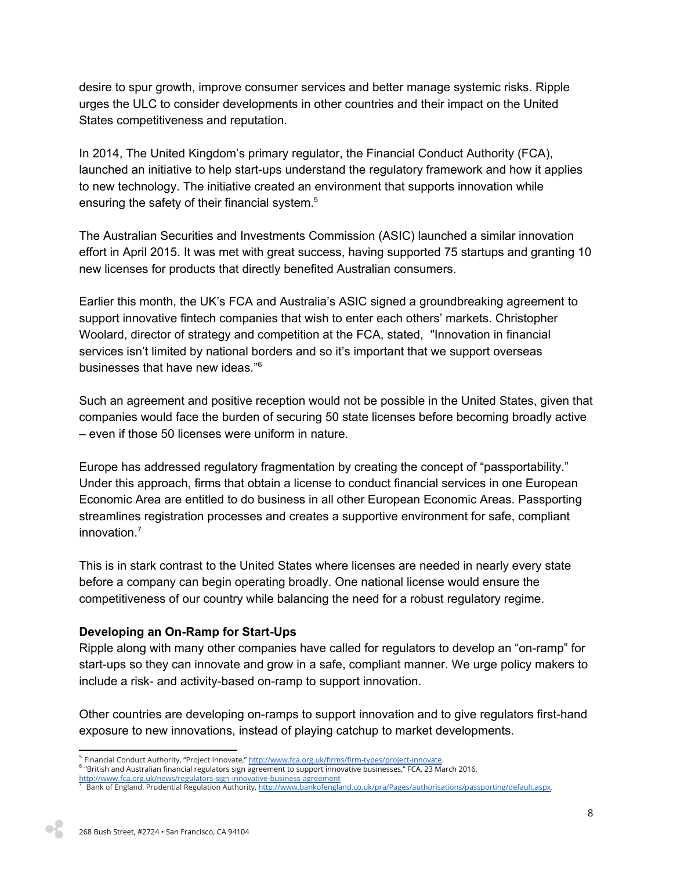desire to spur growth, improve consumer services and better manage systemic risks. Ripple urges the ULC to consider developments in other countries and their impact on the United States competitiveness and reputation.

In 2014, The United Kingdom's primary regulator, the Financial Conduct Authority (FCA), launched an initiative to help start-ups understand the regulatory framework and how it applies to new technology. The initiative created an environment that supports innovation while ensuring the safety of their financial system.<sup>5</sup>

The Australian Securities and Investments Commission (ASIC) launched a similar innovation effort in April 2015. It was met with great success, having supported 75 startups and granting 10 new licenses for products that directly benefited Australian consumers.

Earlier this month, the UK's FCA and Australia's ASIC signed a groundbreaking agreement to support innovative fintech companies that wish to enter each others' markets. Christopher Woolard, director of strategy and competition at the FCA, stated, "Innovation in financial services isn't limited by national borders and so it's important that we support overseas businesses that have new ideas." 6

Such an agreement and positive reception would not be possible in the United States, given that companies would face the burden of securing 50 state licenses before becoming broadly active – even if those 50 licenses were uniform in nature.

Europe has addressed regulatory fragmentation by creating the concept of "passportability." Under this approach, firms that obtain a license to conduct financial services in one European Economic Area are entitled to do business in all other European Economic Areas. Passporting streamlines registration processes and creates a supportive environment for safe, compliant innovation. 7

This is in stark contrast to the United States where licenses are needed in nearly every state before a company can begin operating broadly. One national license would ensure the competitiveness of our country while balancing the need for a robust regulatory regime.

## **Developing an On-Ramp for Start-Ups**

Ripple along with many other companies have called for regulators to develop an "on-ramp" for start-ups so they can innovate and grow in a safe, compliant manner. We urge policy makers to include a risk- and activity-based on-ramp to support innovation.

Other countries are developing on-ramps to support innovation and to give regulators first-hand exposure to new innovations, instead of playing catchup to market developments.

<sup>&</sup>lt;sup>5</sup> Financial Conduct Authority, "Project Innovate," <u>http://www.fca.org.uk/firms/firm-types/project-innovate</u>.

<sup>&</sup>lt;sup>6</sup> "British and Australian financial regulators sign agreement to support innovative businesses," FCA, 23 March 2016,

<http://www.fca.org.uk/news/regulators-sign-innovative-business-agreement><br><sup>7</sup> Bank of England, Prudential Regulation Authority, <u>[http://www.bankofengland.co.uk/pra/Pages/authorisations/passporting/default.aspx.](http://www.bankofengland.co.uk/pra/Pages/authorisations/passporting/default.aspx)</u>